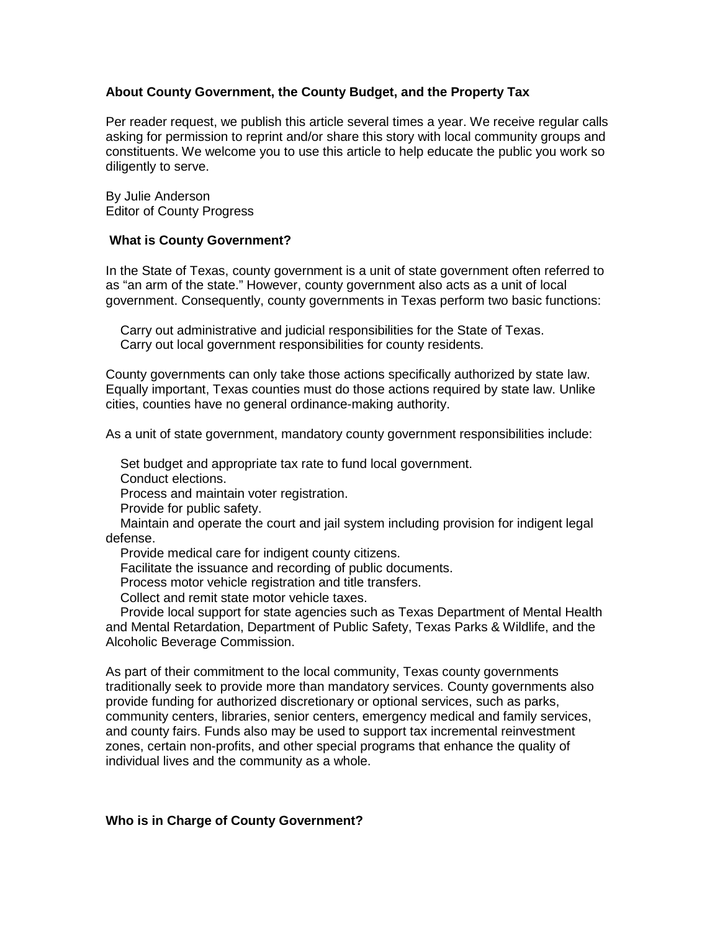# **About County Government, the County Budget, and the Property Tax**

Per reader request, we publish this article several times a year. We receive regular calls asking for permission to reprint and/or share this story with local community groups and constituents. We welcome you to use this article to help educate the public you work so diligently to serve.

By Julie Anderson Editor of County Progress

### **What is County Government?**

In the State of Texas, county government is a unit of state government often referred to as "an arm of the state." However, county government also acts as a unit of local government. Consequently, county governments in Texas perform two basic functions:

 Carry out administrative and judicial responsibilities for the State of Texas. Carry out local government responsibilities for county residents.

County governments can only take those actions specifically authorized by state law. Equally important, Texas counties must do those actions required by state law. Unlike cities, counties have no general ordinance-making authority.

As a unit of state government, mandatory county government responsibilities include:

Set budget and appropriate tax rate to fund local government.

Conduct elections.

Process and maintain voter registration.

Provide for public safety.

 Maintain and operate the court and jail system including provision for indigent legal defense.

Provide medical care for indigent county citizens.

Facilitate the issuance and recording of public documents.

Process motor vehicle registration and title transfers.

Collect and remit state motor vehicle taxes.

 Provide local support for state agencies such as Texas Department of Mental Health and Mental Retardation, Department of Public Safety, Texas Parks & Wildlife, and the Alcoholic Beverage Commission.

As part of their commitment to the local community, Texas county governments traditionally seek to provide more than mandatory services. County governments also provide funding for authorized discretionary or optional services, such as parks, community centers, libraries, senior centers, emergency medical and family services, and county fairs. Funds also may be used to support tax incremental reinvestment zones, certain non-profits, and other special programs that enhance the quality of individual lives and the community as a whole.

### **Who is in Charge of County Government?**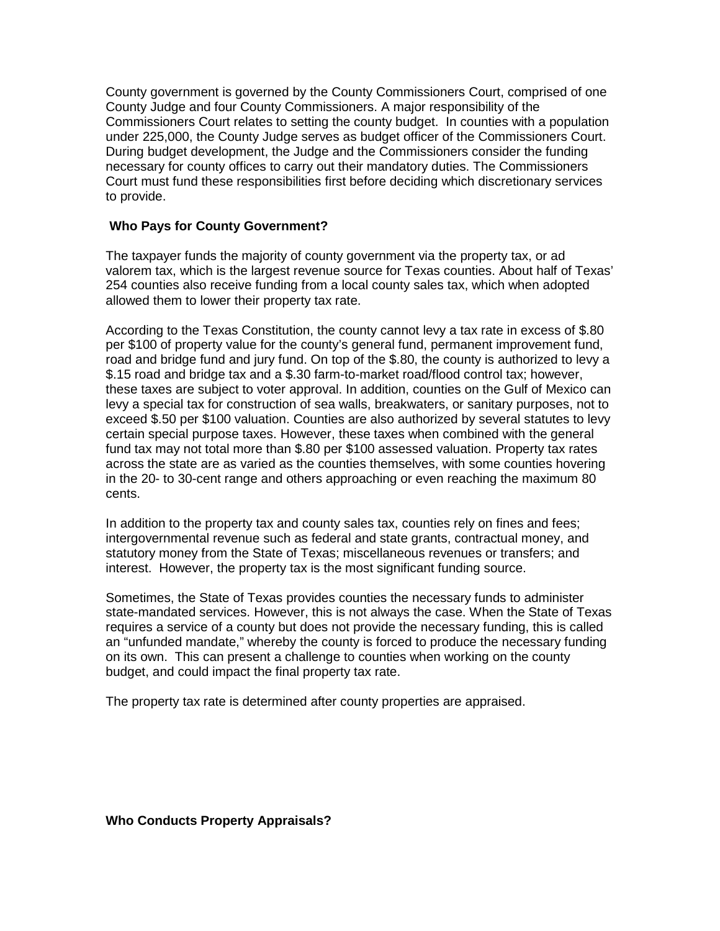County government is governed by the County Commissioners Court, comprised of one County Judge and four County Commissioners. A major responsibility of the Commissioners Court relates to setting the county budget. In counties with a population under 225,000, the County Judge serves as budget officer of the Commissioners Court. During budget development, the Judge and the Commissioners consider the funding necessary for county offices to carry out their mandatory duties. The Commissioners Court must fund these responsibilities first before deciding which discretionary services to provide.

## **Who Pays for County Government?**

The taxpayer funds the majority of county government via the property tax, or ad valorem tax, which is the largest revenue source for Texas counties. About half of Texas' 254 counties also receive funding from a local county sales tax, which when adopted allowed them to lower their property tax rate.

According to the Texas Constitution, the county cannot levy a tax rate in excess of \$.80 per \$100 of property value for the county's general fund, permanent improvement fund, road and bridge fund and jury fund. On top of the \$.80, the county is authorized to levy a \$.15 road and bridge tax and a \$.30 farm-to-market road/flood control tax; however, these taxes are subject to voter approval. In addition, counties on the Gulf of Mexico can levy a special tax for construction of sea walls, breakwaters, or sanitary purposes, not to exceed \$.50 per \$100 valuation. Counties are also authorized by several statutes to levy certain special purpose taxes. However, these taxes when combined with the general fund tax may not total more than \$.80 per \$100 assessed valuation. Property tax rates across the state are as varied as the counties themselves, with some counties hovering in the 20- to 30-cent range and others approaching or even reaching the maximum 80 cents.

In addition to the property tax and county sales tax, counties rely on fines and fees; intergovernmental revenue such as federal and state grants, contractual money, and statutory money from the State of Texas; miscellaneous revenues or transfers; and interest. However, the property tax is the most significant funding source.

Sometimes, the State of Texas provides counties the necessary funds to administer state-mandated services. However, this is not always the case. When the State of Texas requires a service of a county but does not provide the necessary funding, this is called an "unfunded mandate," whereby the county is forced to produce the necessary funding on its own. This can present a challenge to counties when working on the county budget, and could impact the final property tax rate.

The property tax rate is determined after county properties are appraised.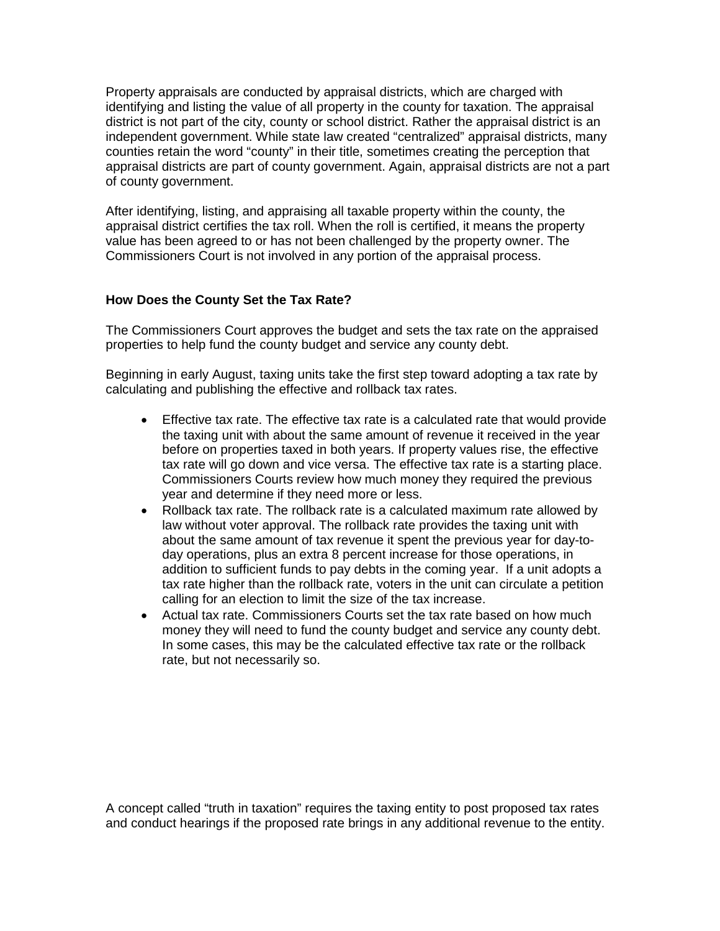Property appraisals are conducted by appraisal districts, which are charged with identifying and listing the value of all property in the county for taxation. The appraisal district is not part of the city, county or school district. Rather the appraisal district is an independent government. While state law created "centralized" appraisal districts, many counties retain the word "county" in their title, sometimes creating the perception that appraisal districts are part of county government. Again, appraisal districts are not a part of county government.

After identifying, listing, and appraising all taxable property within the county, the appraisal district certifies the tax roll. When the roll is certified, it means the property value has been agreed to or has not been challenged by the property owner. The Commissioners Court is not involved in any portion of the appraisal process.

# **How Does the County Set the Tax Rate?**

The Commissioners Court approves the budget and sets the tax rate on the appraised properties to help fund the county budget and service any county debt.

Beginning in early August, taxing units take the first step toward adopting a tax rate by calculating and publishing the effective and rollback tax rates.

- Effective tax rate. The effective tax rate is a calculated rate that would provide the taxing unit with about the same amount of revenue it received in the year before on properties taxed in both years. If property values rise, the effective tax rate will go down and vice versa. The effective tax rate is a starting place. Commissioners Courts review how much money they required the previous year and determine if they need more or less.
- Rollback tax rate. The rollback rate is a calculated maximum rate allowed by law without voter approval. The rollback rate provides the taxing unit with about the same amount of tax revenue it spent the previous year for day-today operations, plus an extra 8 percent increase for those operations, in addition to sufficient funds to pay debts in the coming year. If a unit adopts a tax rate higher than the rollback rate, voters in the unit can circulate a petition calling for an election to limit the size of the tax increase.
- Actual tax rate. Commissioners Courts set the tax rate based on how much money they will need to fund the county budget and service any county debt. In some cases, this may be the calculated effective tax rate or the rollback rate, but not necessarily so.

A concept called "truth in taxation" requires the taxing entity to post proposed tax rates and conduct hearings if the proposed rate brings in any additional revenue to the entity.